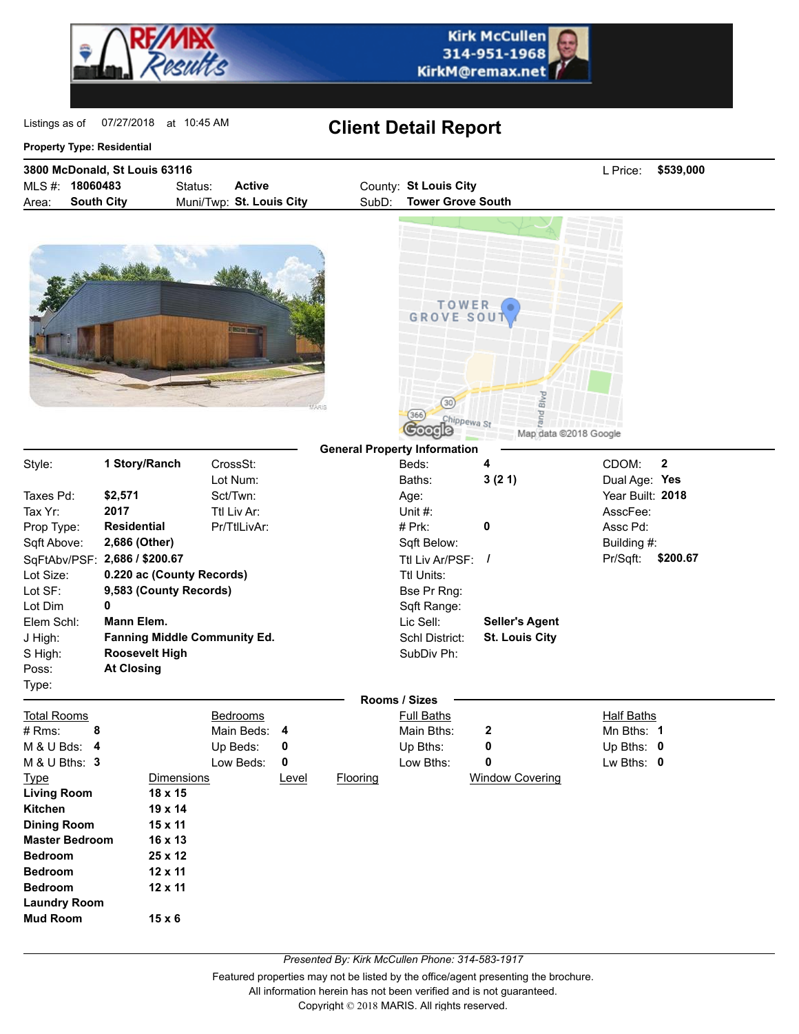



07/27/2018 at 10:45 AM

## Listings as of 07/27/2018 at 10:45 AM **Client Detail Report**

## **Property Type: Residential**

**Bedroom 25 x 12 Bedroom 12 x 11 Bedroom 12 x 11**

**Mud Room 15 x 6**

**Laundry Room**

| 3800 McDonald, St Louis 63116 |                   |         |                          |       |                          |  | \$539,000 |
|-------------------------------|-------------------|---------|--------------------------|-------|--------------------------|--|-----------|
|                               | MLS #: 18060483   | Status: | Active                   |       | County: St Louis City    |  |           |
| Area:                         | <b>South City</b> |         | Muni/Twp: St. Louis City | SubD: | <b>Tower Grove South</b> |  |           |





|                       |                        |                                     |       |          | <b>General Property Information</b> |                        |                   |              |  |
|-----------------------|------------------------|-------------------------------------|-------|----------|-------------------------------------|------------------------|-------------------|--------------|--|
| Style:                | 1 Story/Ranch          | CrossSt:                            |       |          | Beds:                               | 4                      | CDOM:             | $\mathbf{2}$ |  |
|                       |                        | Lot Num:                            |       |          | Baths:                              | 3(21)                  | Dual Age: Yes     |              |  |
| Taxes Pd:             | \$2,571                | Sct/Twn:                            |       |          | Age:                                |                        | Year Built: 2018  |              |  |
| Tax Yr:               | 2017                   | Ttl Liv Ar:                         |       |          | Unit $#$ :                          |                        | AsscFee:          |              |  |
| Prop Type:            | <b>Residential</b>     | Pr/TtlLivAr:                        |       |          | $# Prk$ :                           | 0                      | Assc Pd:          |              |  |
| Sqft Above:           | 2,686 (Other)          |                                     |       |          | Sqft Below:                         |                        | Building #:       |              |  |
| SqFtAbv/PSF:          | 2,686 / \$200.67       |                                     |       |          | Ttl Liv Ar/PSF: $\frac{1}{2}$       |                        | Pr/Sqft:          | \$200.67     |  |
| Lot Size:             |                        | 0.220 ac (County Records)           |       |          | Ttl Units:                          |                        |                   |              |  |
| Lot SF:               | 9,583 (County Records) |                                     |       |          | Bse Pr Rng:                         |                        |                   |              |  |
| Lot Dim               | 0                      |                                     |       |          | Sqft Range:                         |                        |                   |              |  |
| Elem Schl:            | Mann Elem.             |                                     |       |          | Lic Sell:                           | <b>Seller's Agent</b>  |                   |              |  |
| J High:               |                        | <b>Fanning Middle Community Ed.</b> |       |          | Schl District:                      | <b>St. Louis City</b>  |                   |              |  |
| S High:               | <b>Roosevelt High</b>  |                                     |       |          | SubDiv Ph:                          |                        |                   |              |  |
| Poss:                 | <b>At Closing</b>      |                                     |       |          |                                     |                        |                   |              |  |
| Type:                 |                        |                                     |       |          |                                     |                        |                   |              |  |
|                       |                        |                                     |       |          | Rooms / Sizes                       |                        |                   |              |  |
| <b>Total Rooms</b>    |                        | <b>Bedrooms</b>                     |       |          | <b>Full Baths</b>                   |                        | <b>Half Baths</b> |              |  |
| # Rms:<br>8           |                        | Main Beds:                          | - 4   |          | Main Bths:                          | 2                      | Mn Bths: 1        |              |  |
| M & U Bds: 4          |                        | Up Beds:                            | 0     |          | Up Bths:                            | 0                      | Up Bths: $0$      |              |  |
| M & U Bths: 3         |                        | Low Beds:                           | 0     |          | Low Bths:                           | 0                      | Lw Bths: 0        |              |  |
| <u>Type</u>           |                        | Dimensions                          | Level | Flooring |                                     | <b>Window Covering</b> |                   |              |  |
| Living Room           | 18 x 15                |                                     |       |          |                                     |                        |                   |              |  |
| Kitchen               | $19 \times 14$         |                                     |       |          |                                     |                        |                   |              |  |
| <b>Dining Room</b>    | 15 x 11                |                                     |       |          |                                     |                        |                   |              |  |
| <b>Master Bedroom</b> | 16 x 13                |                                     |       |          |                                     |                        |                   |              |  |

*Presented By: Kirk McCullen Phone: 314-583-1917*

Featured properties may not be listed by the office/agent presenting the brochure.

All information herein has not been verified and is not guaranteed.

Copyright © 2018 MARIS. All rights reserved.